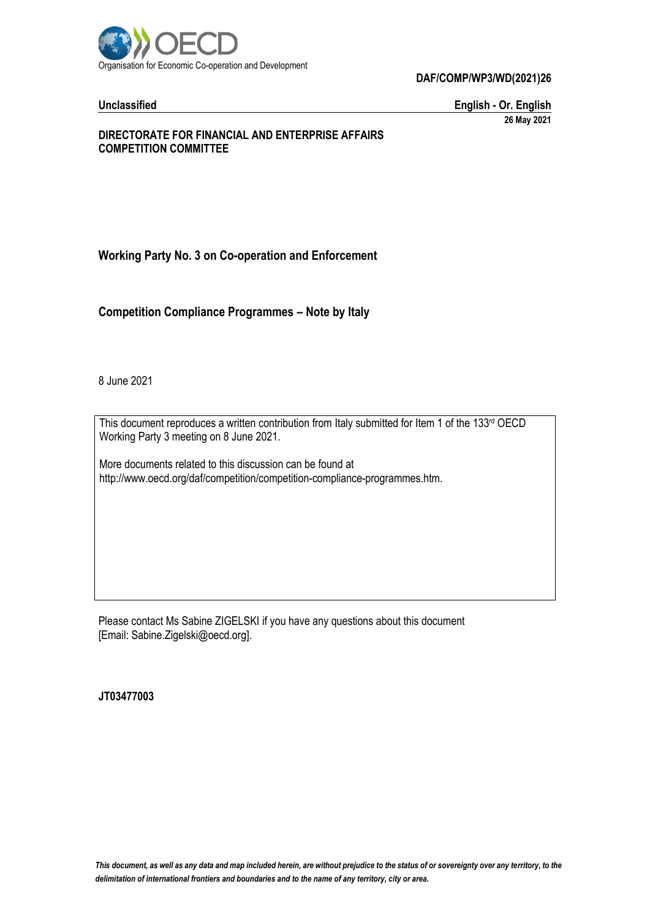

**DAF/COMP/WP3/WD(2021)26**

**Unclassified English - Or. English 26 May 2021**

# **DIRECTORATE FOR FINANCIAL AND ENTERPRISE AFFAIRS COMPETITION COMMITTEE**

**Working Party No. 3 on Co-operation and Enforcement**

**Competition Compliance Programmes – Note by Italy**

8 June 2021

This document reproduces a written contribution from Italy submitted for Item 1 of the 133<sup>rd</sup> OECD Working Party 3 meeting on 8 June 2021.

More documents related to this discussion can be found at http://www.oecd.org/daf/competition/competition-compliance-programmes.htm.

Please contact Ms Sabine ZIGELSKI if you have any questions about this document [Email: Sabine.Zigelski@oecd.org].

**JT03477003**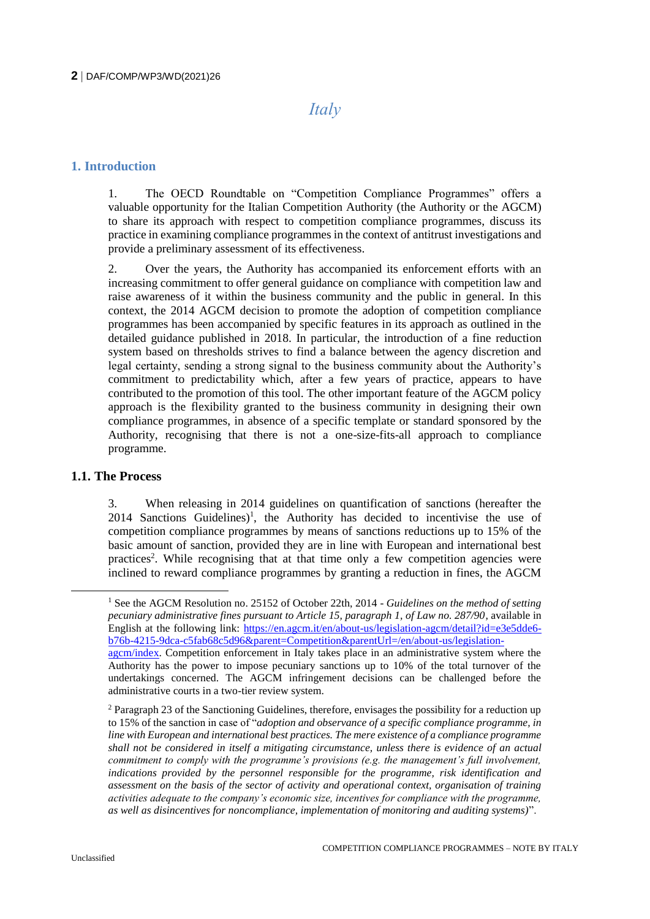# *Italy*

# **1. Introduction**

1. The OECD Roundtable on "Competition Compliance Programmes" offers a valuable opportunity for the Italian Competition Authority (the Authority or the AGCM) to share its approach with respect to competition compliance programmes, discuss its practice in examining compliance programmes in the context of antitrust investigations and provide a preliminary assessment of its effectiveness.

2. Over the years, the Authority has accompanied its enforcement efforts with an increasing commitment to offer general guidance on compliance with competition law and raise awareness of it within the business community and the public in general. In this context, the 2014 AGCM decision to promote the adoption of competition compliance programmes has been accompanied by specific features in its approach as outlined in the detailed guidance published in 2018. In particular, the introduction of a fine reduction system based on thresholds strives to find a balance between the agency discretion and legal certainty, sending a strong signal to the business community about the Authority's commitment to predictability which, after a few years of practice, appears to have contributed to the promotion of this tool. The other important feature of the AGCM policy approach is the flexibility granted to the business community in designing their own compliance programmes, in absence of a specific template or standard sponsored by the Authority, recognising that there is not a one-size-fits-all approach to compliance programme.

# **1.1. The Process**

3. When releasing in 2014 guidelines on quantification of sanctions (hereafter the 2014 Sanctions Guidelines)<sup>1</sup>, the Authority has decided to incentivise the use of competition compliance programmes by means of sanctions reductions up to 15% of the basic amount of sanction, provided they are in line with European and international best practices<sup>2</sup>. While recognising that at that time only a few competition agencies were inclined to reward compliance programmes by granting a reduction in fines, the AGCM

<sup>1</sup> See the AGCM Resolution no. 25152 of October 22th, 2014 - *Guidelines on the method of setting pecuniary administrative fines pursuant to Article 15, paragraph 1, of Law no. 287/90*, available in English at the following link: [https://en.agcm.it/en/about-us/legislation-agcm/detail?id=e3e5dde6](https://en.agcm.it/en/about-us/legislation-agcm/detail?id=e3e5dde6-b76b-4215-9dca-c5fab68c5d96&parent=Competition&parentUrl=/en/about-us/legislation-agcm/index) [b76b-4215-9dca-c5fab68c5d96&parent=Competition&parentUrl=/en/about-us/legislation-](https://en.agcm.it/en/about-us/legislation-agcm/detail?id=e3e5dde6-b76b-4215-9dca-c5fab68c5d96&parent=Competition&parentUrl=/en/about-us/legislation-agcm/index)

[agcm/index.](https://en.agcm.it/en/about-us/legislation-agcm/detail?id=e3e5dde6-b76b-4215-9dca-c5fab68c5d96&parent=Competition&parentUrl=/en/about-us/legislation-agcm/index) Competition enforcement in Italy takes place in an administrative system where the Authority has the power to impose pecuniary sanctions up to 10% of the total turnover of the undertakings concerned. The AGCM infringement decisions can be challenged before the administrative courts in a two-tier review system.

<sup>2</sup> Paragraph 23 of the Sanctioning Guidelines, therefore, envisages the possibility for a reduction up to 15% of the sanction in case of "*adoption and observance of a specific compliance programme, in line with European and international best practices. The mere existence of a compliance programme shall not be considered in itself a mitigating circumstance, unless there is evidence of an actual commitment to comply with the programme's provisions (e.g. the management's full involvement, indications provided by the personnel responsible for the programme, risk identification and assessment on the basis of the sector of activity and operational context, organisation of training activities adequate to the company's economic size, incentives for compliance with the programme, as well as disincentives for noncompliance, implementation of monitoring and auditing systems)*".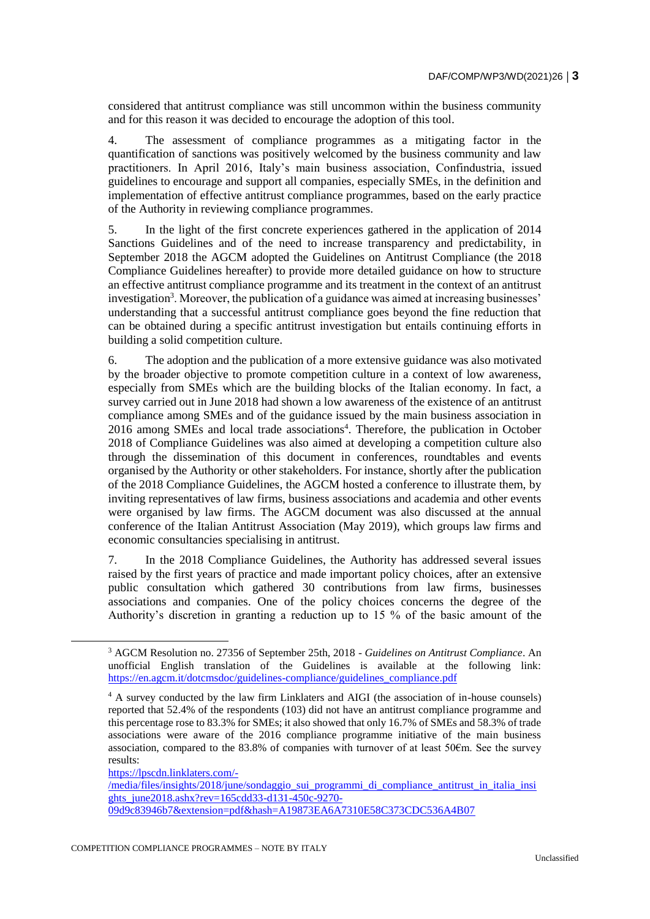considered that antitrust compliance was still uncommon within the business community and for this reason it was decided to encourage the adoption of this tool.

4. The assessment of compliance programmes as a mitigating factor in the quantification of sanctions was positively welcomed by the business community and law practitioners. In April 2016, Italy's main business association, Confindustria, issued guidelines to encourage and support all companies, especially SMEs, in the definition and implementation of effective antitrust compliance programmes, based on the early practice of the Authority in reviewing compliance programmes.

5. In the light of the first concrete experiences gathered in the application of 2014 Sanctions Guidelines and of the need to increase transparency and predictability, in September 2018 the AGCM adopted the Guidelines on Antitrust Compliance (the 2018 Compliance Guidelines hereafter) to provide more detailed guidance on how to structure an effective antitrust compliance programme and its treatment in the context of an antitrust investigation<sup>3</sup>. Moreover, the publication of a guidance was aimed at increasing businesses' understanding that a successful antitrust compliance goes beyond the fine reduction that can be obtained during a specific antitrust investigation but entails continuing efforts in building a solid competition culture.

6. The adoption and the publication of a more extensive guidance was also motivated by the broader objective to promote competition culture in a context of low awareness, especially from SMEs which are the building blocks of the Italian economy. In fact, a survey carried out in June 2018 had shown a low awareness of the existence of an antitrust compliance among SMEs and of the guidance issued by the main business association in 2016 among SMEs and local trade associations<sup>4</sup>. Therefore, the publication in October 2018 of Compliance Guidelines was also aimed at developing a competition culture also through the dissemination of this document in conferences, roundtables and events organised by the Authority or other stakeholders. For instance, shortly after the publication of the 2018 Compliance Guidelines, the AGCM hosted a conference to illustrate them, by inviting representatives of law firms, business associations and academia and other events were organised by law firms. The AGCM document was also discussed at the annual conference of the Italian Antitrust Association (May 2019), which groups law firms and economic consultancies specialising in antitrust.

7. In the 2018 Compliance Guidelines, the Authority has addressed several issues raised by the first years of practice and made important policy choices, after an extensive public consultation which gathered 30 contributions from law firms, businesses associations and companies. One of the policy choices concerns the degree of the Authority's discretion in granting a reduction up to 15 % of the basic amount of the

 $\overline{a}$ 

[/media/files/insights/2018/june/sondaggio\\_sui\\_programmi\\_di\\_compliance\\_antitrust\\_in\\_italia\\_insi](https://lpscdn.linklaters.com/-/media/files/insights/2018/june/sondaggio_sui_programmi_di_compliance_antitrust_in_italia_insights_june2018.ashx?rev=165cdd33-d131-450c-9270-09d9c83946b7&extension=pdf&hash=A19873EA6A7310E58C373CDC536A4B07) [ghts\\_june2018.ashx?rev=165cdd33-d131-450c-9270-](https://lpscdn.linklaters.com/-/media/files/insights/2018/june/sondaggio_sui_programmi_di_compliance_antitrust_in_italia_insights_june2018.ashx?rev=165cdd33-d131-450c-9270-09d9c83946b7&extension=pdf&hash=A19873EA6A7310E58C373CDC536A4B07) [09d9c83946b7&extension=pdf&hash=A19873EA6A7310E58C373CDC536A4B07](https://lpscdn.linklaters.com/-/media/files/insights/2018/june/sondaggio_sui_programmi_di_compliance_antitrust_in_italia_insights_june2018.ashx?rev=165cdd33-d131-450c-9270-09d9c83946b7&extension=pdf&hash=A19873EA6A7310E58C373CDC536A4B07)

<sup>3</sup> AGCM Resolution no. 27356 of September 25th, 2018 - *Guidelines on Antitrust Compliance*. An unofficial English translation of the Guidelines is available at the following link: [https://en.agcm.it/dotcmsdoc/guidelines-compliance/guidelines\\_compliance.pdf](https://en.agcm.it/dotcmsdoc/guidelines-compliance/guidelines_compliance.pdf)

<sup>4</sup> A survey conducted by the law firm Linklaters and AIGI (the association of in-house counsels) reported that 52.4% of the respondents (103) did not have an antitrust compliance programme and this percentage rose to 83.3% for SMEs; it also showed that only 16.7% of SMEs and 58.3% of trade associations were aware of the 2016 compliance programme initiative of the main business association, compared to the 83.8% of companies with turnover of at least 50€m. See the survey results:

[https://lpscdn.linklaters.com/-](https://lpscdn.linklaters.com/-/media/files/insights/2018/june/sondaggio_sui_programmi_di_compliance_antitrust_in_italia_insights_june2018.ashx?rev=165cdd33-d131-450c-9270-09d9c83946b7&extension=pdf&hash=A19873EA6A7310E58C373CDC536A4B07)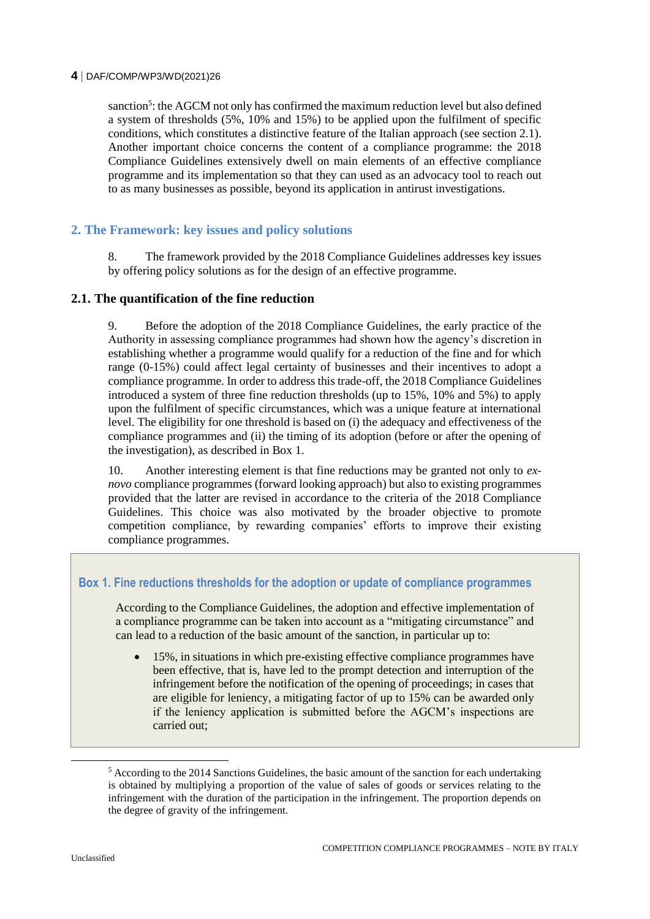### **4** DAF/COMP/WP3/WD(2021)26

sanction<sup>5</sup>: the AGCM not only has confirmed the maximum reduction level but also defined a system of thresholds (5%, 10% and 15%) to be applied upon the fulfilment of specific conditions, which constitutes a distinctive feature of the Italian approach (see section 2.1). Another important choice concerns the content of a compliance programme: the 2018 Compliance Guidelines extensively dwell on main elements of an effective compliance programme and its implementation so that they can used as an advocacy tool to reach out to as many businesses as possible, beyond its application in antirust investigations.

# **2. The Framework: key issues and policy solutions**

8. The framework provided by the 2018 Compliance Guidelines addresses key issues by offering policy solutions as for the design of an effective programme.

### **2.1. The quantification of the fine reduction**

9. Before the adoption of the 2018 Compliance Guidelines, the early practice of the Authority in assessing compliance programmes had shown how the agency's discretion in establishing whether a programme would qualify for a reduction of the fine and for which range (0-15%) could affect legal certainty of businesses and their incentives to adopt a compliance programme. In order to address this trade-off, the 2018 Compliance Guidelines introduced a system of three fine reduction thresholds (up to 15%, 10% and 5%) to apply upon the fulfilment of specific circumstances, which was a unique feature at international level. The eligibility for one threshold is based on (i) the adequacy and effectiveness of the compliance programmes and (ii) the timing of its adoption (before or after the opening of the investigation), as described in Box 1.

10. Another interesting element is that fine reductions may be granted not only to *exnovo* compliance programmes (forward looking approach) but also to existing programmes provided that the latter are revised in accordance to the criteria of the 2018 Compliance Guidelines. This choice was also motivated by the broader objective to promote competition compliance, by rewarding companies' efforts to improve their existing compliance programmes.

# **Box 1. Fine reductions thresholds for the adoption or update of compliance programmes**

According to the Compliance Guidelines, the adoption and effective implementation of a compliance programme can be taken into account as a "mitigating circumstance" and can lead to a reduction of the basic amount of the sanction, in particular up to:

 15%, in situations in which pre-existing effective compliance programmes have been effective, that is, have led to the prompt detection and interruption of the infringement before the notification of the opening of proceedings; in cases that are eligible for leniency, a mitigating factor of up to 15% can be awarded only if the leniency application is submitted before the AGCM's inspections are carried out;

 $5$  According to the 2014 Sanctions Guidelines, the basic amount of the sanction for each undertaking is obtained by multiplying a proportion of the value of sales of goods or services relating to the infringement with the duration of the participation in the infringement. The proportion depends on the degree of gravity of the infringement.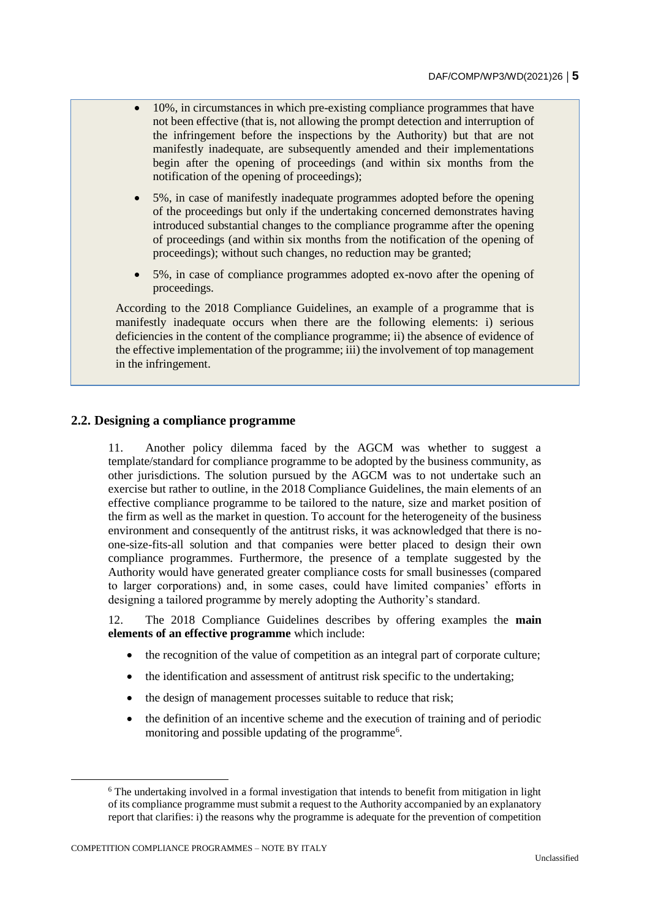- 10%, in circumstances in which pre-existing compliance programmes that have not been effective (that is, not allowing the prompt detection and interruption of the infringement before the inspections by the Authority) but that are not manifestly inadequate, are subsequently amended and their implementations begin after the opening of proceedings (and within six months from the notification of the opening of proceedings);
- 5%, in case of manifestly inadequate programmes adopted before the opening of the proceedings but only if the undertaking concerned demonstrates having introduced substantial changes to the compliance programme after the opening of proceedings (and within six months from the notification of the opening of proceedings); without such changes, no reduction may be granted;
- 5%, in case of compliance programmes adopted ex-novo after the opening of proceedings.

According to the 2018 Compliance Guidelines, an example of a programme that is manifestly inadequate occurs when there are the following elements: i) serious deficiencies in the content of the compliance programme; ii) the absence of evidence of the effective implementation of the programme; iii) the involvement of top management in the infringement.

# **2.2. Designing a compliance programme**

11. Another policy dilemma faced by the AGCM was whether to suggest a template/standard for compliance programme to be adopted by the business community, as other jurisdictions. The solution pursued by the AGCM was to not undertake such an exercise but rather to outline, in the 2018 Compliance Guidelines, the main elements of an effective compliance programme to be tailored to the nature, size and market position of the firm as well as the market in question. To account for the heterogeneity of the business environment and consequently of the antitrust risks, it was acknowledged that there is noone-size-fits-all solution and that companies were better placed to design their own compliance programmes. Furthermore, the presence of a template suggested by the Authority would have generated greater compliance costs for small businesses (compared to larger corporations) and, in some cases, could have limited companies' efforts in designing a tailored programme by merely adopting the Authority's standard.

12. The 2018 Compliance Guidelines describes by offering examples the **main elements of an effective programme** which include:

- the recognition of the value of competition as an integral part of corporate culture;
- the identification and assessment of antitrust risk specific to the undertaking;
- the design of management processes suitable to reduce that risk;
- the definition of an incentive scheme and the execution of training and of periodic monitoring and possible updating of the programme<sup>6</sup>.

 $\overline{a}$ 

<sup>6</sup> The undertaking involved in a formal investigation that intends to benefit from mitigation in light of its compliance programme must submit a request to the Authority accompanied by an explanatory report that clarifies: i) the reasons why the programme is adequate for the prevention of competition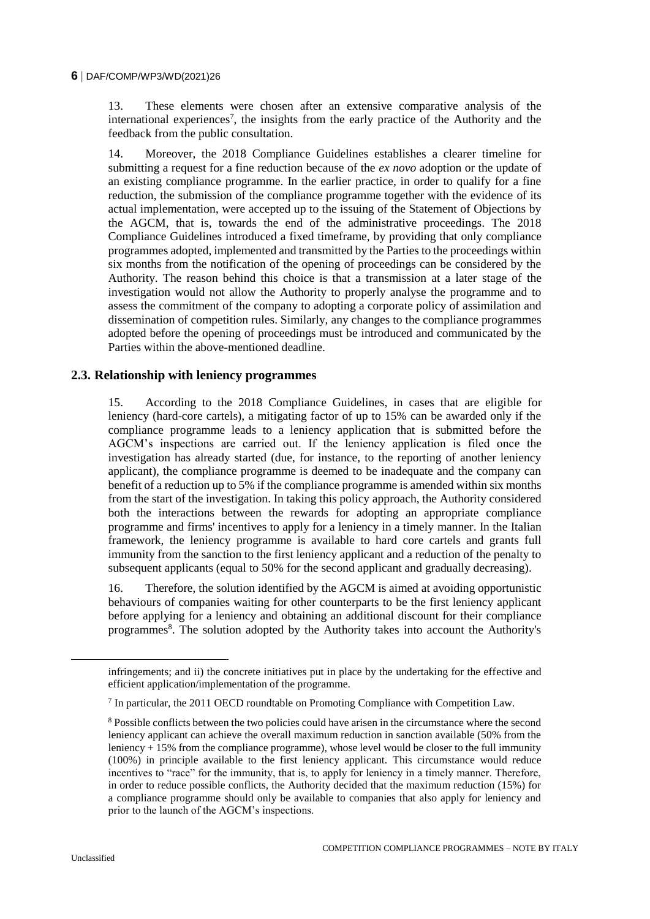#### **6** DAF/COMP/WP3/WD(2021)26

13. These elements were chosen after an extensive comparative analysis of the international experiences<sup>7</sup>, the insights from the early practice of the Authority and the feedback from the public consultation.

14. Moreover, the 2018 Compliance Guidelines establishes a clearer timeline for submitting a request for a fine reduction because of the *ex novo* adoption or the update of an existing compliance programme. In the earlier practice, in order to qualify for a fine reduction, the submission of the compliance programme together with the evidence of its actual implementation, were accepted up to the issuing of the Statement of Objections by the AGCM, that is, towards the end of the administrative proceedings. The 2018 Compliance Guidelines introduced a fixed timeframe, by providing that only compliance programmes adopted, implemented and transmitted by the Parties to the proceedings within six months from the notification of the opening of proceedings can be considered by the Authority. The reason behind this choice is that a transmission at a later stage of the investigation would not allow the Authority to properly analyse the programme and to assess the commitment of the company to adopting a corporate policy of assimilation and dissemination of competition rules. Similarly, any changes to the compliance programmes adopted before the opening of proceedings must be introduced and communicated by the Parties within the above-mentioned deadline.

# **2.3. Relationship with leniency programmes**

15. According to the 2018 Compliance Guidelines, in cases that are eligible for leniency (hard-core cartels), a mitigating factor of up to 15% can be awarded only if the compliance programme leads to a leniency application that is submitted before the AGCM's inspections are carried out. If the leniency application is filed once the investigation has already started (due, for instance, to the reporting of another leniency applicant), the compliance programme is deemed to be inadequate and the company can benefit of a reduction up to 5% if the compliance programme is amended within six months from the start of the investigation. In taking this policy approach, the Authority considered both the interactions between the rewards for adopting an appropriate compliance programme and firms' incentives to apply for a leniency in a timely manner. In the Italian framework, the leniency programme is available to hard core cartels and grants full immunity from the sanction to the first leniency applicant and a reduction of the penalty to subsequent applicants (equal to 50% for the second applicant and gradually decreasing).

16. Therefore, the solution identified by the AGCM is aimed at avoiding opportunistic behaviours of companies waiting for other counterparts to be the first leniency applicant before applying for a leniency and obtaining an additional discount for their compliance programmes<sup>8</sup>. The solution adopted by the Authority takes into account the Authority's

infringements; and ii) the concrete initiatives put in place by the undertaking for the effective and efficient application/implementation of the programme.

<sup>&</sup>lt;sup>7</sup> In particular, the 2011 OECD roundtable on Promoting Compliance with Competition Law.

<sup>8</sup> Possible conflicts between the two policies could have arisen in the circumstance where the second leniency applicant can achieve the overall maximum reduction in sanction available (50% from the leniency + 15% from the compliance programme), whose level would be closer to the full immunity (100%) in principle available to the first leniency applicant. This circumstance would reduce incentives to "race" for the immunity, that is, to apply for leniency in a timely manner. Therefore, in order to reduce possible conflicts, the Authority decided that the maximum reduction (15%) for a compliance programme should only be available to companies that also apply for leniency and prior to the launch of the AGCM's inspections.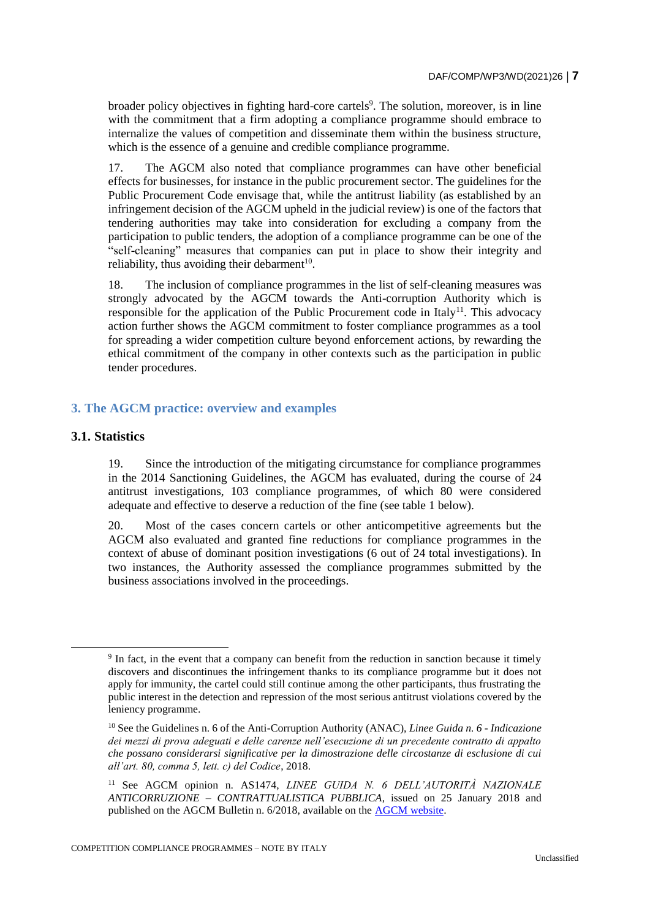broader policy objectives in fighting hard-core cartels<sup>9</sup>. The solution, moreover, is in line with the commitment that a firm adopting a compliance programme should embrace to internalize the values of competition and disseminate them within the business structure, which is the essence of a genuine and credible compliance programme.

17. The AGCM also noted that compliance programmes can have other beneficial effects for businesses, for instance in the public procurement sector. The guidelines for the Public Procurement Code envisage that, while the antitrust liability (as established by an infringement decision of the AGCM upheld in the judicial review) is one of the factors that tendering authorities may take into consideration for excluding a company from the participation to public tenders, the adoption of a compliance programme can be one of the "self-cleaning" measures that companies can put in place to show their integrity and reliability, thus avoiding their debarment<sup>10</sup>.

18. The inclusion of compliance programmes in the list of self-cleaning measures was strongly advocated by the AGCM towards the Anti-corruption Authority which is responsible for the application of the Public Procurement code in Italy<sup>11</sup>. This advocacy action further shows the AGCM commitment to foster compliance programmes as a tool for spreading a wider competition culture beyond enforcement actions, by rewarding the ethical commitment of the company in other contexts such as the participation in public tender procedures.

# **3. The AGCM practice: overview and examples**

#### **3.1. Statistics**

 $\overline{a}$ 

19. Since the introduction of the mitigating circumstance for compliance programmes in the 2014 Sanctioning Guidelines, the AGCM has evaluated, during the course of 24 antitrust investigations, 103 compliance programmes, of which 80 were considered adequate and effective to deserve a reduction of the fine (see table 1 below).

20. Most of the cases concern cartels or other anticompetitive agreements but the AGCM also evaluated and granted fine reductions for compliance programmes in the context of abuse of dominant position investigations (6 out of 24 total investigations). In two instances, the Authority assessed the compliance programmes submitted by the business associations involved in the proceedings.

<sup>&</sup>lt;sup>9</sup> In fact, in the event that a company can benefit from the reduction in sanction because it timely discovers and discontinues the infringement thanks to its compliance programme but it does not apply for immunity, the cartel could still continue among the other participants, thus frustrating the public interest in the detection and repression of the most serious antitrust violations covered by the leniency programme.

<sup>10</sup> See the Guidelines n. 6 of the Anti-Corruption Authority (ANAC), *Linee Guida n. 6 - Indicazione dei mezzi di prova adeguati e delle carenze nell'esecuzione di un precedente contratto di appalto che possano considerarsi significative per la dimostrazione delle circostanze di esclusione di cui all'art. 80, comma 5, lett. c) del Codice*, 2018.

<sup>11</sup> See AGCM opinion n. AS1474, *LINEE GUIDA N. 6 DELL'AUTORITÀ NAZIONALE ANTICORRUZIONE – CONTRATTUALISTICA PUBBLICA*, issued on 25 January 2018 and published on the AGCM Bulletin n. 6/2018, available on the [AGCM website.](https://www.agcm.it/dettaglio?db=C12563290035806C&uid=BFDB449F2706720AC1258234004E3F3E&view=vw0301&title=AS1474-LINEE%20GUIDA%20N.%206%20DELL%E2%80%99AUTORIT%C3%80%20NAZIONALE%20ANTICORRUZIONE%20%E2%80%93%20CONTRATTUALISTICA%20PUBBLICA&fs=22-Attivit%C3%A0%20consultiva)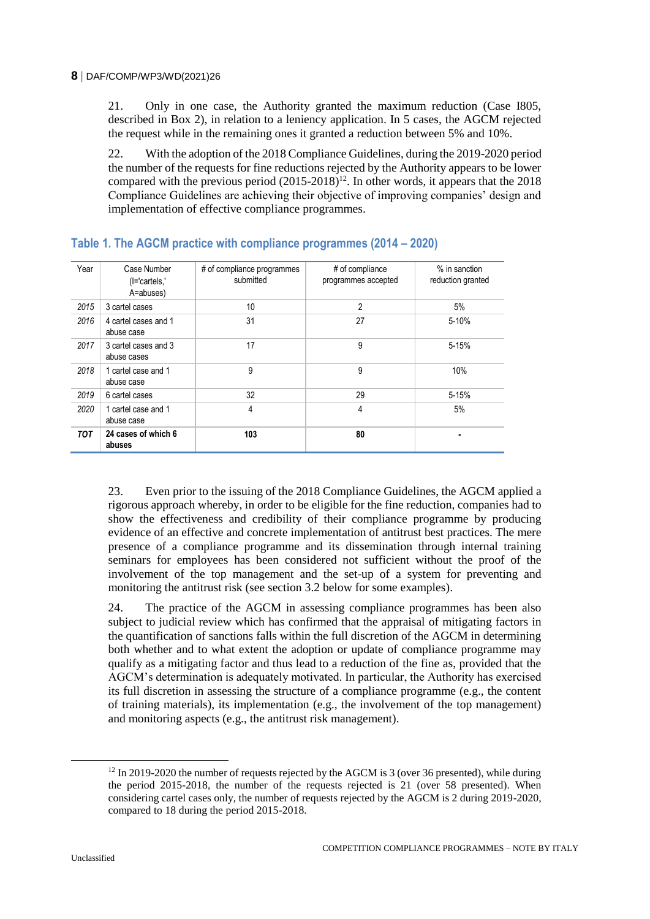21. Only in one case, the Authority granted the maximum reduction (Case I805, described in Box 2), in relation to a leniency application. In 5 cases, the AGCM rejected the request while in the remaining ones it granted a reduction between 5% and 10%.

22. With the adoption of the 2018 Compliance Guidelines, during the 2019-2020 period the number of the requests for fine reductions rejected by the Authority appears to be lower compared with the previous period  $(2015{\text -}2018)^{12}$ . In other words, it appears that the 2018 Compliance Guidelines are achieving their objective of improving companies' design and implementation of effective compliance programmes.

| Year       | Case Number<br>(I='cartels,'<br>A=abuses) | # of compliance programmes<br>submitted | # of compliance<br>programmes accepted | % in sanction<br>reduction granted |
|------------|-------------------------------------------|-----------------------------------------|----------------------------------------|------------------------------------|
| 2015       | 3 cartel cases                            | 10                                      | $\overline{2}$                         | 5%                                 |
| 2016       | 4 cartel cases and 1<br>abuse case        | 31                                      | 27                                     | 5-10%                              |
| 2017       | 3 cartel cases and 3<br>abuse cases       | 17                                      | 9                                      | $5 - 15%$                          |
| 2018       | 1 cartel case and 1<br>abuse case         | 9                                       | 9                                      | 10%                                |
| 2019       | 6 cartel cases                            | 32                                      | 29                                     | 5-15%                              |
| 2020       | 1 cartel case and 1<br>abuse case         | 4                                       | 4                                      | 5%                                 |
| <b>TOT</b> | 24 cases of which 6<br>abuses             | 103                                     | 80                                     |                                    |

# **Table 1. The AGCM practice with compliance programmes (2014 – 2020)**

23. Even prior to the issuing of the 2018 Compliance Guidelines, the AGCM applied a rigorous approach whereby, in order to be eligible for the fine reduction, companies had to show the effectiveness and credibility of their compliance programme by producing evidence of an effective and concrete implementation of antitrust best practices. The mere presence of a compliance programme and its dissemination through internal training seminars for employees has been considered not sufficient without the proof of the involvement of the top management and the set-up of a system for preventing and monitoring the antitrust risk (see section 3.2 below for some examples).

24. The practice of the AGCM in assessing compliance programmes has been also subject to judicial review which has confirmed that the appraisal of mitigating factors in the quantification of sanctions falls within the full discretion of the AGCM in determining both whether and to what extent the adoption or update of compliance programme may qualify as a mitigating factor and thus lead to a reduction of the fine as, provided that the AGCM's determination is adequately motivated. In particular, the Authority has exercised its full discretion in assessing the structure of a compliance programme (e.g., the content of training materials), its implementation (e.g., the involvement of the top management) and monitoring aspects (e.g., the antitrust risk management).

 $12 \text{ In } 2019\text{-}2020$  the number of requests rejected by the AGCM is 3 (over 36 presented), while during the period 2015-2018, the number of the requests rejected is 21 (over 58 presented). When considering cartel cases only, the number of requests rejected by the AGCM is 2 during 2019-2020, compared to 18 during the period 2015-2018.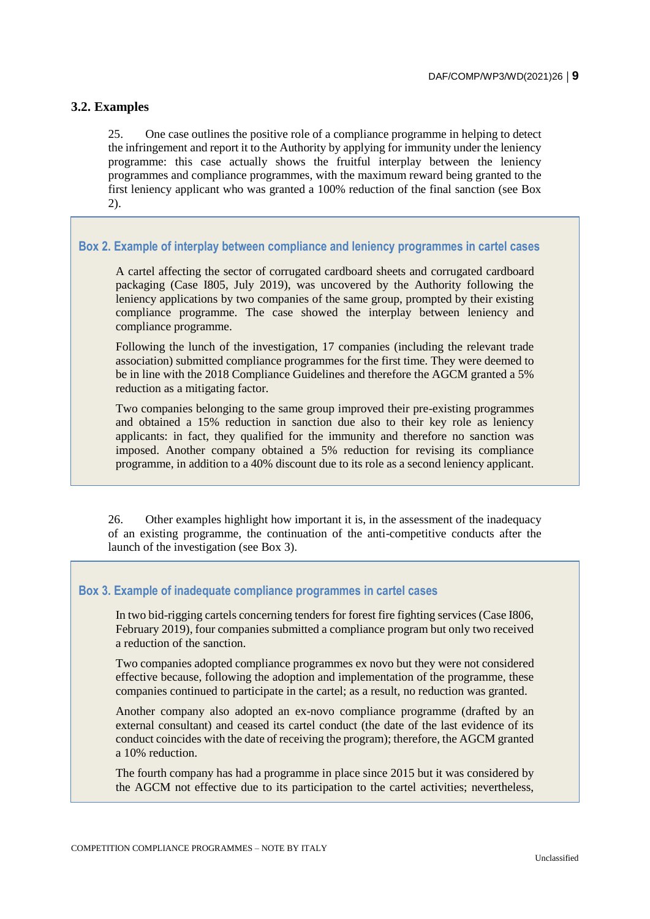# **3.2. Examples**

25. One case outlines the positive role of a compliance programme in helping to detect the infringement and report it to the Authority by applying for immunity under the leniency programme: this case actually shows the fruitful interplay between the leniency programmes and compliance programmes, with the maximum reward being granted to the first leniency applicant who was granted a 100% reduction of the final sanction (see Box 2).

# **Box 2. Example of interplay between compliance and leniency programmes in cartel cases**

A cartel affecting the sector of corrugated cardboard sheets and corrugated cardboard packaging (Case I805, July 2019), was uncovered by the Authority following the leniency applications by two companies of the same group, prompted by their existing compliance programme. The case showed the interplay between leniency and compliance programme.

Following the lunch of the investigation, 17 companies (including the relevant trade association) submitted compliance programmes for the first time. They were deemed to be in line with the 2018 Compliance Guidelines and therefore the AGCM granted a 5% reduction as a mitigating factor.

Two companies belonging to the same group improved their pre-existing programmes and obtained a 15% reduction in sanction due also to their key role as leniency applicants: in fact, they qualified for the immunity and therefore no sanction was imposed. Another company obtained a 5% reduction for revising its compliance programme, in addition to a 40% discount due to its role as a second leniency applicant.

26. Other examples highlight how important it is, in the assessment of the inadequacy of an existing programme, the continuation of the anti-competitive conducts after the launch of the investigation (see Box 3).

### **Box 3. Example of inadequate compliance programmes in cartel cases**

In two bid-rigging cartels concerning tenders for forest fire fighting services (Case I806, February 2019), four companies submitted a compliance program but only two received a reduction of the sanction.

Two companies adopted compliance programmes ex novo but they were not considered effective because, following the adoption and implementation of the programme, these companies continued to participate in the cartel; as a result, no reduction was granted.

Another company also adopted an ex-novo compliance programme (drafted by an external consultant) and ceased its cartel conduct (the date of the last evidence of its conduct coincides with the date of receiving the program); therefore, the AGCM granted a 10% reduction.

The fourth company has had a programme in place since 2015 but it was considered by the AGCM not effective due to its participation to the cartel activities; nevertheless,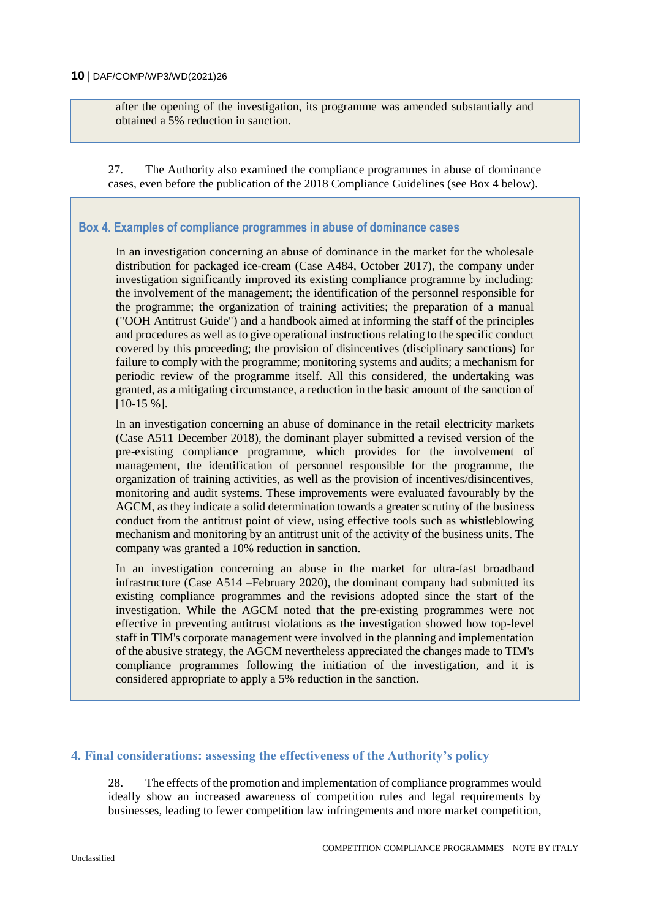after the opening of the investigation, its programme was amended substantially and obtained a 5% reduction in sanction.

27. The Authority also examined the compliance programmes in abuse of dominance cases, even before the publication of the 2018 Compliance Guidelines (see Box 4 below).

# **Box 4. Examples of compliance programmes in abuse of dominance cases**

In an investigation concerning an abuse of dominance in the market for the wholesale distribution for packaged ice-cream (Case A484, October 2017), the company under investigation significantly improved its existing compliance programme by including: the involvement of the management; the identification of the personnel responsible for the programme; the organization of training activities; the preparation of a manual ("OOH Antitrust Guide") and a handbook aimed at informing the staff of the principles and procedures as well as to give operational instructions relating to the specific conduct covered by this proceeding; the provision of disincentives (disciplinary sanctions) for failure to comply with the programme; monitoring systems and audits; a mechanism for periodic review of the programme itself. All this considered, the undertaking was granted, as a mitigating circumstance, a reduction in the basic amount of the sanction of [10-15 %].

In an investigation concerning an abuse of dominance in the retail electricity markets (Case A511 December 2018), the dominant player submitted a revised version of the pre-existing compliance programme, which provides for the involvement of management, the identification of personnel responsible for the programme, the organization of training activities, as well as the provision of incentives/disincentives, monitoring and audit systems. These improvements were evaluated favourably by the AGCM, as they indicate a solid determination towards a greater scrutiny of the business conduct from the antitrust point of view, using effective tools such as whistleblowing mechanism and monitoring by an antitrust unit of the activity of the business units. The company was granted a 10% reduction in sanction.

In an investigation concerning an abuse in the market for ultra-fast broadband infrastructure (Case A514 –February 2020), the dominant company had submitted its existing compliance programmes and the revisions adopted since the start of the investigation. While the AGCM noted that the pre-existing programmes were not effective in preventing antitrust violations as the investigation showed how top-level staff in TIM's corporate management were involved in the planning and implementation of the abusive strategy, the AGCM nevertheless appreciated the changes made to TIM's compliance programmes following the initiation of the investigation, and it is considered appropriate to apply a 5% reduction in the sanction.

#### **4. Final considerations: assessing the effectiveness of the Authority's policy**

28. The effects of the promotion and implementation of compliance programmes would ideally show an increased awareness of competition rules and legal requirements by businesses, leading to fewer competition law infringements and more market competition,